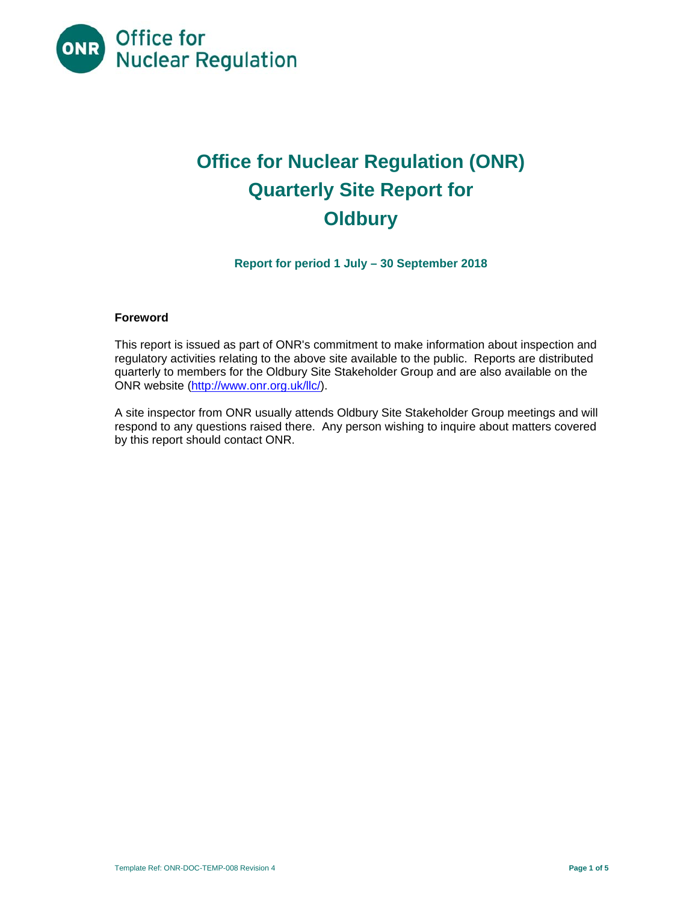

# **Office for Nuclear Regulation (ONR) Quarterly Site Report for Oldbury**

**Report for period 1 July – 30 September 2018** 

# **Foreword**

This report is issued as part of ONR's commitment to make information about inspection and regulatory activities relating to the above site available to the public. Reports are distributed quarterly to members for the Oldbury Site Stakeholder Group and are also available on the ONR website (<http://www.onr.org.uk/llc>/).

A site inspector from ONR usually attends Oldbury Site Stakeholder Group meetings and will respond to any questions raised there. Any person wishing to inquire about matters covered by this report should contact ONR.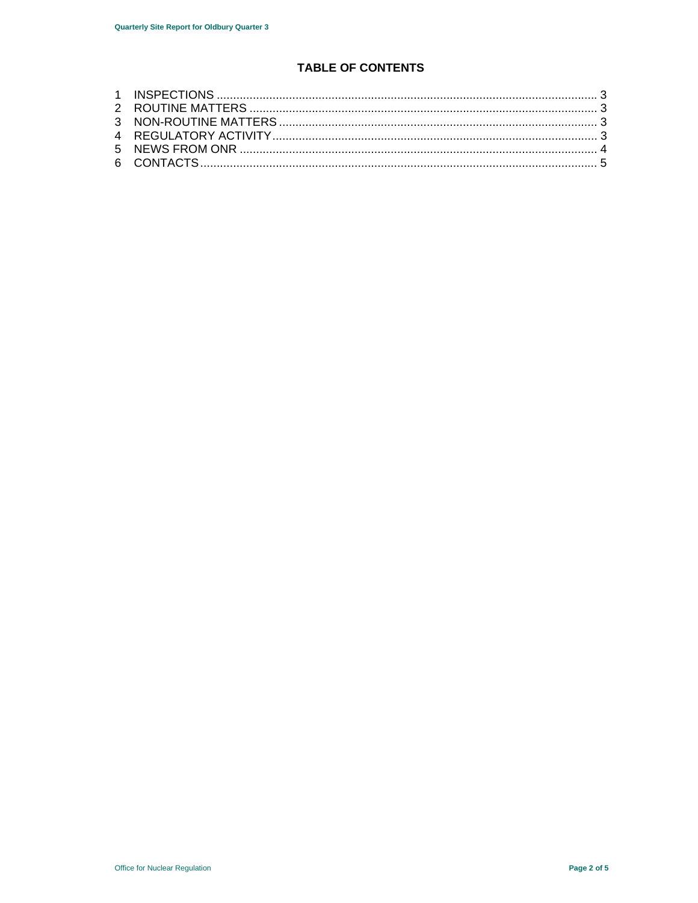# **TABLE OF CONTENTS**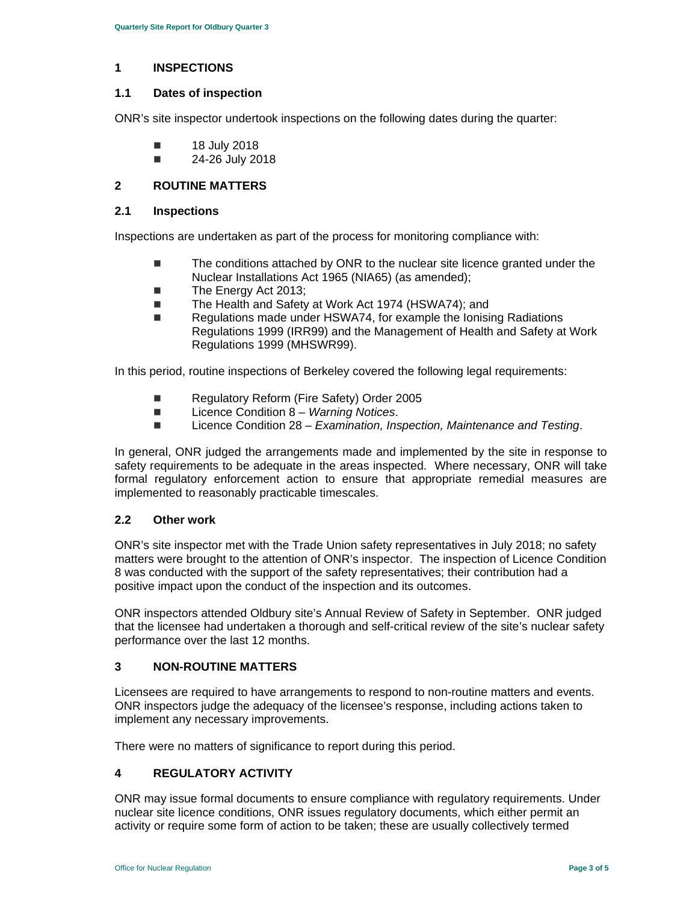#### **1 INSPECTIONS**

#### **1.1 Dates of inspection**

ONR's site inspector undertook inspections on the following dates during the quarter:

- **18 July 2018**
- $\blacksquare$  24-26 July 2018

# **2 ROUTINE MATTERS**

#### **2.1 Inspections**

Inspections are undertaken as part of the process for monitoring compliance with:

- The conditions attached by ONR to the nuclear site licence granted under the Nuclear Installations Act 1965 (NIA65) (as amended);
- The Energy Act 2013;
- The Health and Safety at Work Act 1974 (HSWA74); and
- Regulations made under HSWA74, for example the Ionising Radiations Regulations 1999 (IRR99) and the Management of Health and Safety at Work Regulations 1999 (MHSWR99).

In this period, routine inspections of Berkeley covered the following legal requirements:

- Regulatory Reform (Fire Safety) Order 2005
- Licence Condition 8 *Warning Notices*.
- Licence Condition 28 *Examination, Inspection, Maintenance and Testing.*

 safety requirements to be adequate in the areas inspected. Where necessary, ONR will take In general, ONR judged the arrangements made and implemented by the site in response to formal regulatory enforcement action to ensure that appropriate remedial measures are implemented to reasonably practicable timescales.

#### **2.2 Other work**

ONR's site inspector met with the Trade Union safety representatives in July 2018; no safety matters were brought to the attention of ONR's inspector. The inspection of Licence Condition 8 was conducted with the support of the safety representatives; their contribution had a positive impact upon the conduct of the inspection and its outcomes.

ONR inspectors attended Oldbury site's Annual Review of Safety in September. ONR judged that the licensee had undertaken a thorough and self-critical review of the site's nuclear safety performance over the last 12 months.

# **3 NON-ROUTINE MATTERS**

Licensees are required to have arrangements to respond to non-routine matters and events. ONR inspectors judge the adequacy of the licensee's response, including actions taken to implement any necessary improvements.

There were no matters of significance to report during this period.

# **4 REGULATORY ACTIVITY**

ONR may issue formal documents to ensure compliance with regulatory requirements. Under nuclear site licence conditions, ONR issues regulatory documents, which either permit an activity or require some form of action to be taken; these are usually collectively termed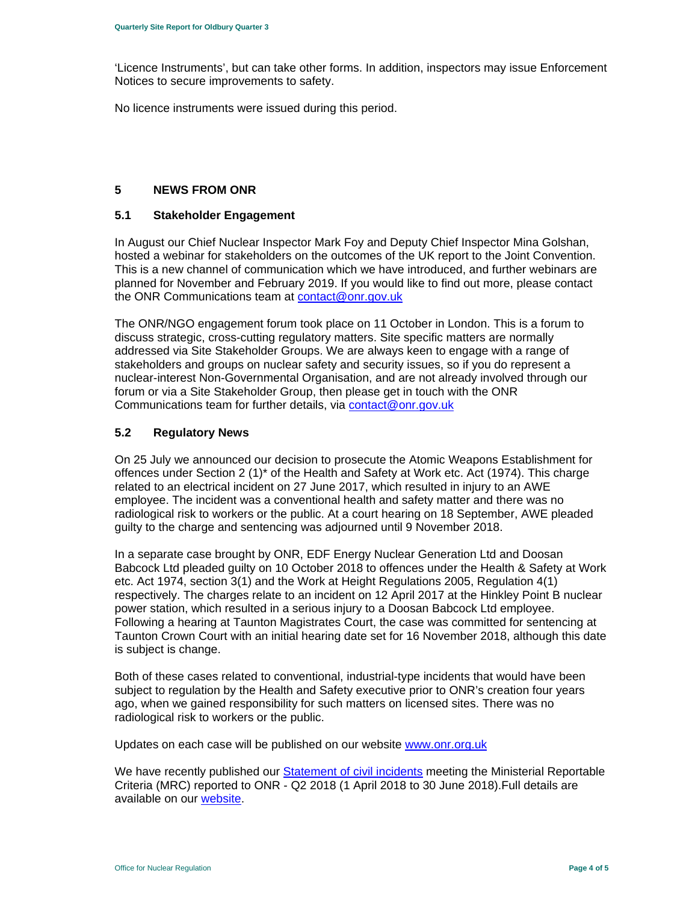'Licence Instruments', but can take other forms. In addition, inspectors may issue Enforcement Notices to secure improvements to safety.

No licence instruments were issued during this period.

# **5 NEWS FROM ONR**

## **5.1 Stakeholder Engagement**

In August our Chief Nuclear Inspector Mark Foy and Deputy Chief Inspector Mina Golshan, hosted a webinar for stakeholders on the outcomes of the UK report to the Joint Convention. This is a new channel of communication which we have introduced, and further webinars are planned for November and February 2019. If you would like to find out more, please contact the ONR Communications team at contact@onr.gov.uk

Communications team for further details, via contact@onr.gov.uk The ONR/NGO engagement forum took place on 11 October in London. This is a forum to discuss strategic, cross-cutting regulatory matters. Site specific matters are normally addressed via Site Stakeholder Groups. We are always keen to engage with a range of stakeholders and groups on nuclear safety and security issues, so if you do represent a nuclear-interest Non-Governmental Organisation, and are not already involved through our forum or via a Site Stakeholder Group, then please get in touch with the ONR

## **5.2 Regulatory News**

On 25 July we announced our decision to prosecute the Atomic Weapons Establishment for offences under Section 2 (1)\* of the Health and Safety at Work etc. Act (1974). This charge related to an electrical incident on 27 June 2017, which resulted in injury to an AWE employee. The incident was a conventional health and safety matter and there was no radiological risk to workers or the public. At a court hearing on 18 September, AWE pleaded guilty to the charge and sentencing was adjourned until 9 November 2018.

In a separate case brought by ONR, EDF Energy Nuclear Generation Ltd and Doosan Babcock Ltd pleaded guilty on 10 October 2018 to offences under the Health & Safety at Work etc. Act 1974, section 3(1) and the Work at Height Regulations 2005, Regulation 4(1) respectively. The charges relate to an incident on 12 April 2017 at the Hinkley Point B nuclear power station, which resulted in a serious injury to a Doosan Babcock Ltd employee. Following a hearing at Taunton Magistrates Court, the case was committed for sentencing at Taunton Crown Court with an initial hearing date set for 16 November 2018, although this date is subject is change.

Both of these cases related to conventional, industrial-type incidents that would have been subject to regulation by the Health and Safety executive prior to ONR's creation four years ago, when we gained responsibility for such matters on licensed sites. There was no radiological risk to workers or the public.

Updates on each case will be published on our website www.onr.org.uk

We have recently published our **Statement of civil incidents meeting the Ministerial Reportable** Criteria (MRC) reported to ONR - Q2 2018 (1 April 2018 to 30 June 2018).Full details are available on our website.